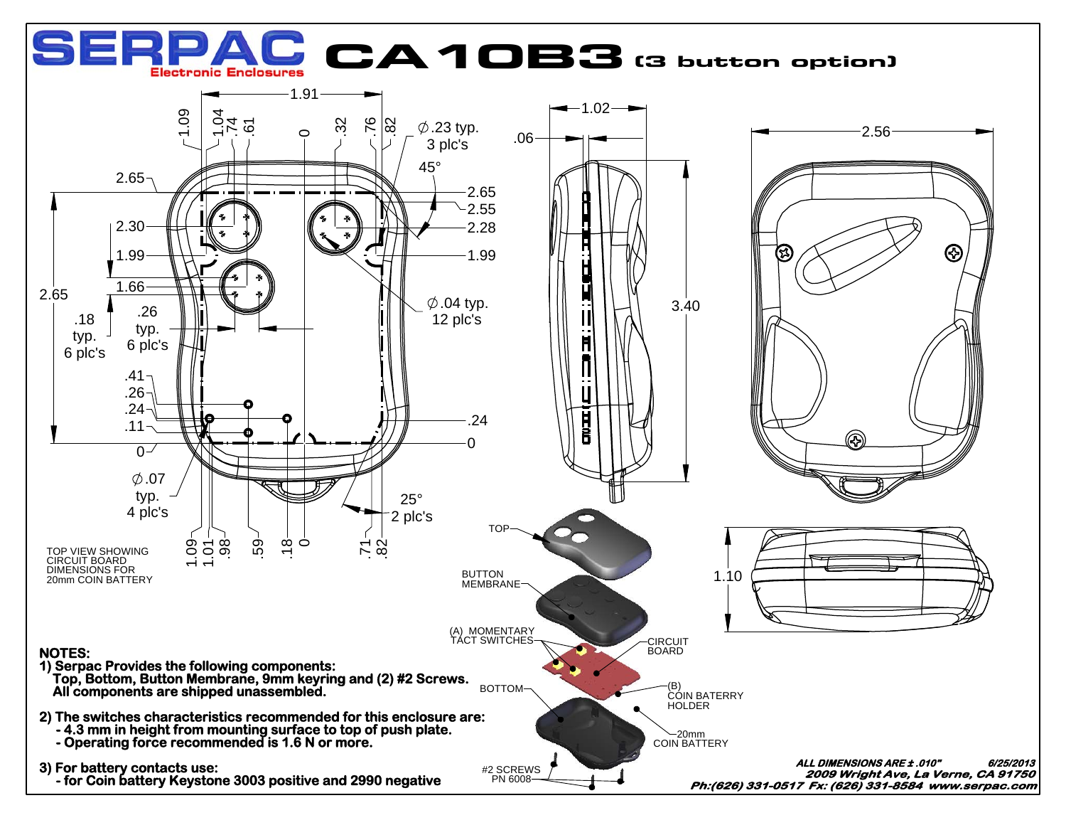